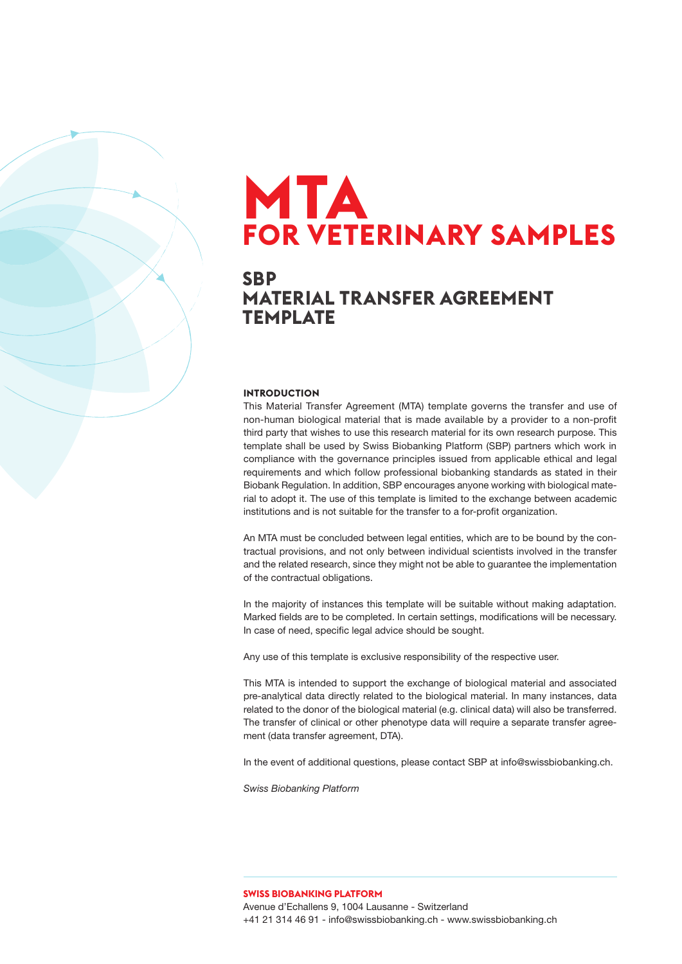# **MTA FOR VETERINARY SAMPLES**

### **SBP MATERIAL TRANSFER AGREEMENT TEMPLATE**

#### **INTRODUCTION**

This Material Transfer Agreement (MTA) template governs the transfer and use of non-human biological material that is made available by a provider to a non-profit third party that wishes to use this research material for its own research purpose. This template shall be used by Swiss Biobanking Platform (SBP) partners which work in compliance with the governance principles issued from applicable ethical and legal requirements and which follow professional biobanking standards as stated in their Biobank Regulation. In addition, SBP encourages anyone working with biological material to adopt it. The use of this template is limited to the exchange between academic institutions and is not suitable for the transfer to a for-profit organization.

An MTA must be concluded between legal entities, which are to be bound by the contractual provisions, and not only between individual scientists involved in the transfer and the related research, since they might not be able to guarantee the implementation of the contractual obligations.

In the majority of instances this template will be suitable without making adaptation. Marked fields are to be completed. In certain settings, modifications will be necessary. In case of need, specific legal advice should be sought.

Any use of this template is exclusive responsibility of the respective user.

This MTA is intended to support the exchange of biological material and associated pre-analytical data directly related to the biological material. In many instances, data related to the donor of the biological material (e.g. clinical data) will also be transferred. The transfer of clinical or other phenotype data will require a separate transfer agreement (data transfer agreement, DTA).

In the event of additional questions, please contact SBP at info@swissbiobanking.ch.

*Swiss Biobanking Platform* 

**SWISS BIOBANKING PLATFORM** Avenue d'Echallens 9, 1004 Lausanne - Switzerland +41 21 314 46 91 - info@swissbiobanking.ch - www.swissbiobanking.ch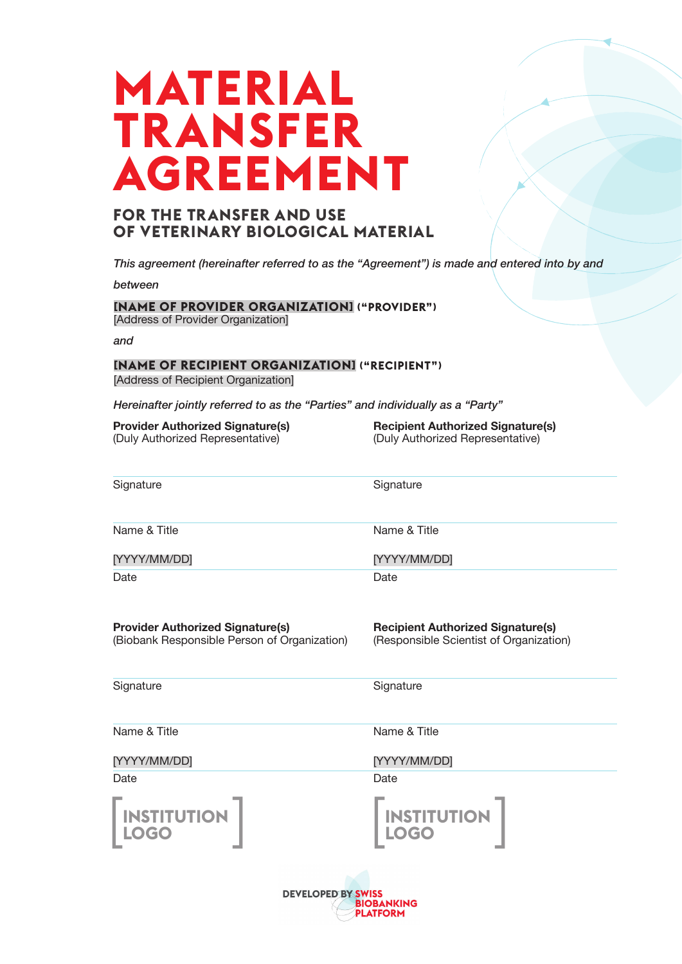# **MATERIAL TRANSFER AGREEMENT**

### **FOR THE TRANSFER AND USE OF VETERINARY BIOLOGICAL MATERIAL**

*This agreement (hereinafter referred to as the "Agreement") is made and entered into by and*

*between*

**[NAME OF PROVIDER ORGANIZATION] ("PROVIDER")** [Address of Provider Organization]

*and*

### **[NAME OF RECIPIENT ORGANIZATION] ("RECIPIENT")**

[Address of Recipient Organization]

*Hereinafter jointly referred to as the "Parties" and individually as a "Party"*

| <b>Provider Authorized Signature(s)</b> |  |
|-----------------------------------------|--|
| (Duly Authorized Representative)        |  |

**Recipient Authorized Signature(s)** (Duly Authorized Representative)

| Signature    | Signature    |
|--------------|--------------|
| Name & Title | Name & Title |
| [YYYY/MM/DD] | [YYYY/MM/DD] |
| Date         | Date         |
|              |              |

**Provider Authorized Signature(s)** (Biobank Responsible Person of Organization) **Recipient Authorized Signature(s)** (Responsible Scientist of Organization)

**Signature** 

**Signature** 

Date

Name & Title

[YYYY/MM/DD]

Name & Title

[YYYY/MM/DD]

Date

**INSTITUTION** 

**LOGO**  $\begin{bmatrix} \text{INSTITUTION} \\ \text{LOGO} \end{bmatrix}$ **LOGO**

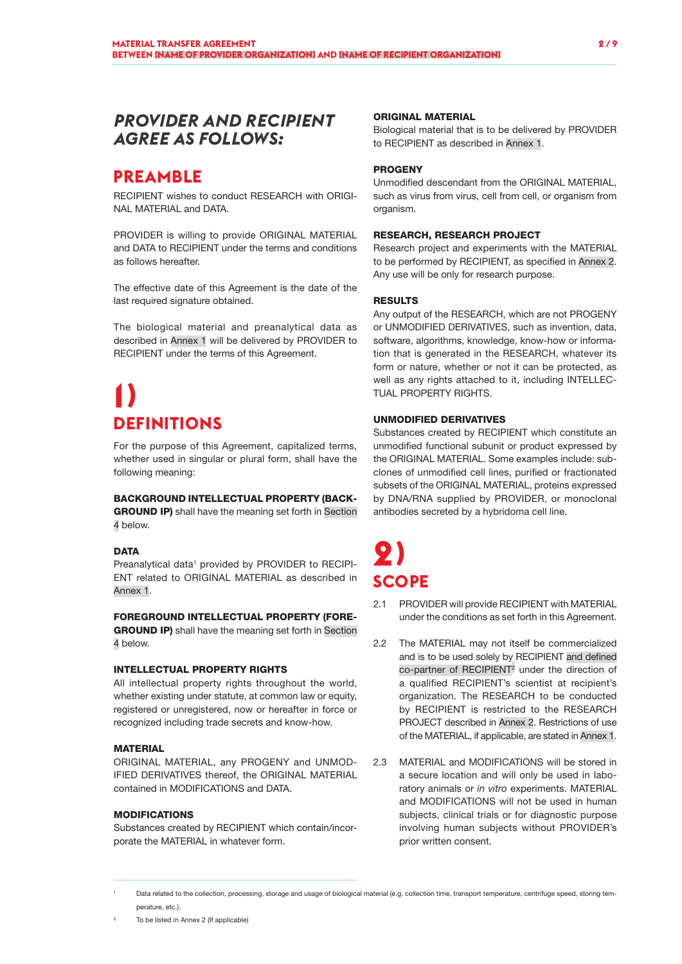### *PROVIDER AND RECIPIENT AGREE AS FOLLOWS:*

### **PREAMBLE**

RECIPIENT wishes to conduct RESEARCH with ORIGI-NAL MATERIAL and DATA.

PROVIDER is willing to provide ORIGINAL MATERIAL and DATA to RECIPIENT under the terms and conditions as follows hereafter.

The effective date of this Agreement is the date of the last required signature obtained.

The biological material and preanalytical data as described in Annex 1 will be delivered by PROVIDER to RECIPIENT under the terms of this Agreement.

# **1) DEFINITIONS**

For the purpose of this Agreement, capitalized terms, whether used in singular or plural form, shall have the following meaning:

### BACKGROUND INTELLECTUAL PROPERTY (BACK-

GROUND IP) shall have the meaning set forth in Section 4 below.

### **DATA**

Preanalytical data<sup>1</sup> provided by PROVIDER to RECIPI-ENT related to ORIGINAL MATERIAL as described in Annex 1.

#### FOREGROUND INTELLECTUAL PROPERTY (FORE-

**GROUND IP)** shall have the meaning set forth in Section 4 below.

### INTELLECTUAL PROPERTY RIGHTS

All intellectual property rights throughout the world, whether existing under statute, at common law or equity, registered or unregistered, now or hereafter in force or recognized including trade secrets and know-how.

#### **MATERIAL**

ORIGINAL MATERIAL, any PROGENY and UNMOD-IFIED DERIVATIVES thereof, the ORIGINAL MATERIAL contained in MODIFICATIONS and DATA.

### MODIFICATIONS

Substances created by RECIPIENT which contain/incorporate the MATERIAL in whatever form.

#### ORIGINAL MATERIAL

Biological material that is to be delivered by PROVIDER to RECIPIENT as described in Annex 1.

### **PROGENY**

Unmodified descendant from the ORIGINAL MATERIAL, such as virus from virus, cell from cell, or organism from organism.

#### RESEARCH, RESEARCH PROJECT

Research project and experiments with the MATERIAL to be performed by RECIPIENT, as specified in Annex 2. Any use will be only for research purpose.

#### RESULTS

Any output of the RESEARCH, which are not PROGENY or UNMODIFIED DERIVATIVES, such as invention, data, software, algorithms, knowledge, know-how or information that is generated in the RESEARCH, whatever its form or nature, whether or not it can be protected, as well as any rights attached to it, including INTELLEC-TUAL PROPERTY RIGHTS.

### UNMODIFIED DERIVATIVES

Substances created by RECIPIENT which constitute an unmodified functional subunit or product expressed by the ORIGINAL MATERIAL. Some examples include: subclones of unmodified cell lines, purified or fractionated subsets of the ORIGINAL MATERIAL, proteins expressed by DNA/RNA supplied by PROVIDER, or monoclonal antibodies secreted by a hybridoma cell line.

# **2) SCOPE**

- 2.1 PROVIDER will provide RECIPIENT with MATERIAL under the conditions as set forth in this Agreement.
- 2.2 The MATERIAL may not itself be commercialized and is to be used solely by RECIPIENT and defined co-partner of RECIPIENT<sup>2</sup> under the direction of a qualified RECIPIENT's scientist at recipient's organization. The RESEARCH to be conducted by RECIPIENT is restricted to the RESEARCH PROJECT described in Annex 2. Restrictions of use of the MATERIAL, if applicable, are stated in Annex 1.
- 2.3 MATERIAL and MODIFICATIONS will be stored in a secure location and will only be used in laboratory animals or *in vitro* experiments. MATERIAL and MODIFICATIONS will not be used in human subjects, clinical trials or for diagnostic purpose involving human subjects without PROVIDER's prior written consent.

<sup>2</sup> To be listed in Annex 2 (If applicable)

Data related to the collection, processing, storage and usage of biological material (e.g. collection time, transport temperature, centrifuge speed, storing temperature, etc.).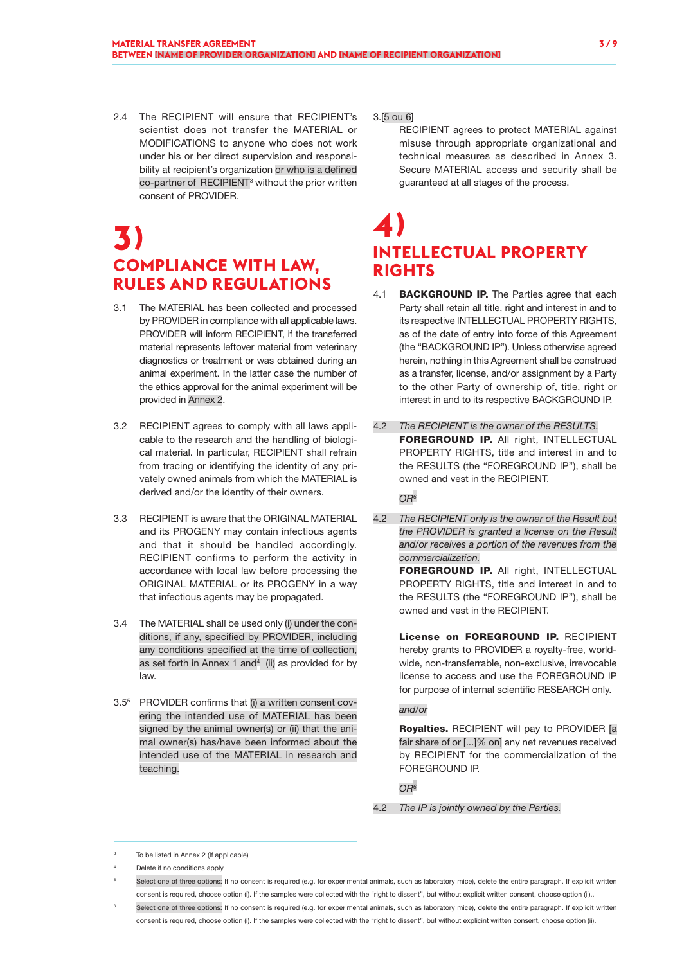- 2.4 The RECIPIENT will ensure that RECIPIENT's
- scientist does not transfer the MATERIAL or MODIFICATIONS to anyone who does not work under his or her direct supervision and responsibility at recipient's organization or who is a defined co-partner of RECIPIENT<sup>3</sup> without the prior written consent of PROVIDER.

### **3) COMPLIANCE WITH LAW, RULES AND REGULATIONS**

- 3.1 The MATERIAL has been collected and processed by PROVIDER in compliance with all applicable laws. PROVIDER will inform RECIPIENT, if the transferred material represents leftover material from veterinary diagnostics or treatment or was obtained during an animal experiment. In the latter case the number of the ethics approval for the animal experiment will be provided in Annex 2.
- 3.2 RECIPIENT agrees to comply with all laws applicable to the research and the handling of biological material. In particular, RECIPIENT shall refrain from tracing or identifying the identity of any privately owned animals from which the MATERIAL is derived and/or the identity of their owners.
- 3.3 RECIPIENT is aware that the ORIGINAL MATERIAL and its PROGENY may contain infectious agents and that it should be handled accordingly. RECIPIENT confirms to perform the activity in accordance with local law before processing the ORIGINAL MATERIAL or its PROGENY in a way that infectious agents may be propagated.
- 3.4 The MATERIAL shall be used only (i) under the conditions, if any, specified by PROVIDER, including any conditions specified at the time of collection, as set forth in Annex  $1$  and $4$  (ii) as provided for by law.
- 3.55 PROVIDER confirms that (i) a written consent covering the intended use of MATERIAL has been signed by the animal owner(s) or (ii) that the animal owner(s) has/have been informed about the intended use of the MATERIAL in research and teaching.

#### 3.[5 ou 6]

RECIPIENT agrees to protect MATERIAL against misuse through appropriate organizational and technical measures as described in Annex 3. Secure MATERIAL access and security shall be guaranteed at all stages of the process.

### **4) INTELLECTUAL PROPERTY RIGHTS**

- 4.1 **BACKGROUND IP.** The Parties agree that each Party shall retain all title, right and interest in and to its respective INTELLECTUAL PROPERTY RIGHTS, as of the date of entry into force of this Agreement (the "BACKGROUND IP"). Unless otherwise agreed herein, nothing in this Agreement shall be construed as a transfer, license, and/or assignment by a Party to the other Party of ownership of, title, right or interest in and to its respective BACKGROUND IP.
- 4.2 *The RECIPIENT is the owner of the RESULTS.* FOREGROUND IP. All right, INTELLECTUAL PROPERTY RIGHTS, title and interest in and to the RESULTS (the "FOREGROUND IP"), shall be owned and vest in the RECIPIENT.

*OR6*

4.2 *The RECIPIENT only is the owner of the Result but the PROVIDER is granted a license on the Result and/or receives a portion of the revenues from the commercialization.*

> FOREGROUND IP. All right, INTELLECTUAL PROPERTY RIGHTS, title and interest in and to the RESULTS (the "FOREGROUND IP"), shall be owned and vest in the RECIPIENT.

> License on FOREGROUND IP. RECIPIENT hereby grants to PROVIDER a royalty-free, worldwide, non-transferrable, non-exclusive, irrevocable license to access and use the FOREGROUND IP for purpose of internal scientific RESEARCH only.

#### *and/or*

Royalties. RECIPIENT will pay to PROVIDER [a fair share of or [...]% on] any net revenues received by RECIPIENT for the commercialization of the FOREGROUND IP.

*OR6*

4.2 *The IP is jointly owned by the Parties.*

To be listed in Annex 2 (If applicable)

Delete if no conditions apply

Select one of three options: If no consent is required (e.g. for experimental animals, such as laboratory mice), delete the entire paragraph. If explicit written consent is required, choose option (i). If the samples were collected with the "right to dissent", but without explicit written consent, choose option (ii)..

Select one of three options: If no consent is required (e.g. for experimental animals, such as laboratory mice), delete the entire paragraph. If explicit written consent is required, choose option (i). If the samples were collected with the "right to dissent", but without explicint written consent, choose option (ii).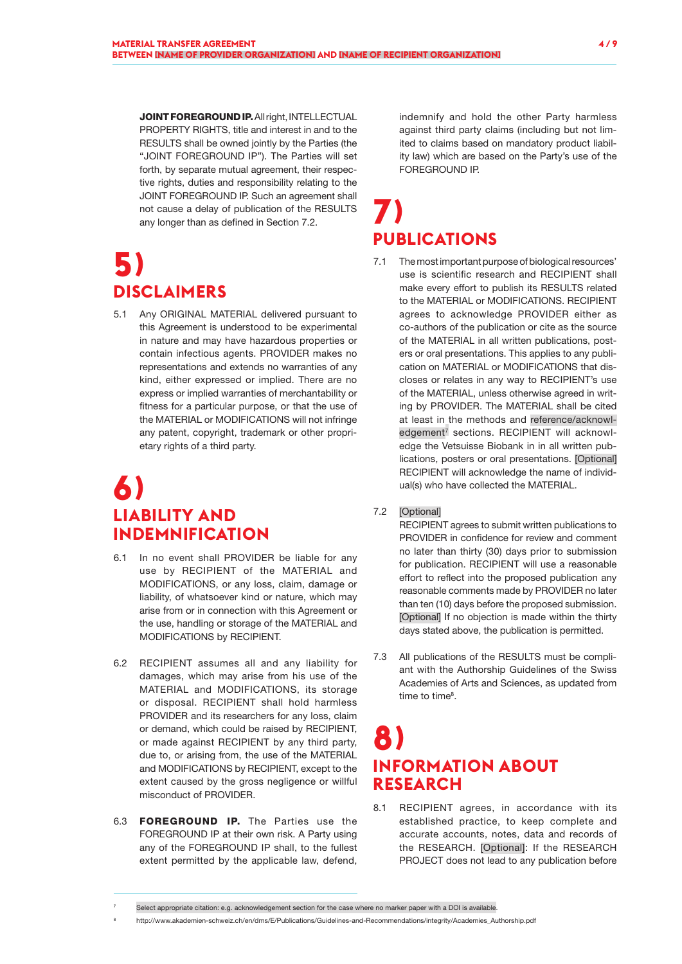JOINT FOREGROUND IP. All right, INTELLECTUAL PROPERTY RIGHTS, title and interest in and to the RESULTS shall be owned jointly by the Parties (the "JOINT FOREGROUND IP"). The Parties will set forth, by separate mutual agreement, their respective rights, duties and responsibility relating to the JOINT FOREGROUND IP. Such an agreement shall not cause a delay of publication of the RESULTS any longer than as defined in Section 7.2.

# **5) DISCLAIMERS**

5.1 Any ORIGINAL MATERIAL delivered pursuant to this Agreement is understood to be experimental in nature and may have hazardous properties or contain infectious agents. PROVIDER makes no representations and extends no warranties of any kind, either expressed or implied. There are no express or implied warranties of merchantability or fitness for a particular purpose, or that the use of the MATERIAL or MODIFICATIONS will not infringe any patent, copyright, trademark or other proprietary rights of a third party.

### **6) LIABILITY AND INDEMNIFICATION**

- 6.1 In no event shall PROVIDER be liable for any use by RECIPIENT of the MATERIAL and MODIFICATIONS, or any loss, claim, damage or liability, of whatsoever kind or nature, which may arise from or in connection with this Agreement or the use, handling or storage of the MATERIAL and MODIFICATIONS by RECIPIENT.
- 6.2 RECIPIENT assumes all and any liability for damages, which may arise from his use of the MATERIAL and MODIFICATIONS, its storage or disposal. RECIPIENT shall hold harmless PROVIDER and its researchers for any loss, claim or demand, which could be raised by RECIPIENT, or made against RECIPIENT by any third party, due to, or arising from, the use of the MATERIAL and MODIFICATIONS by RECIPIENT, except to the extent caused by the gross negligence or willful misconduct of PROVIDER.
- 6.3 **FOREGROUND IP.** The Parties use the FOREGROUND IP at their own risk. A Party using any of the FOREGROUND IP shall, to the fullest extent permitted by the applicable law, defend,

indemnify and hold the other Party harmless against third party claims (including but not limited to claims based on mandatory product liability law) which are based on the Party's use of the FOREGROUND IP.

# **7) PUBLICATIONS**

7.1 The most important purpose of biological resources' use is scientific research and RECIPIENT shall make every effort to publish its RESULTS related to the MATERIAL or MODIFICATIONS. RECIPIENT agrees to acknowledge PROVIDER either as co-authors of the publication or cite as the source of the MATERIAL in all written publications, posters or oral presentations. This applies to any publication on MATERIAL or MODIFICATIONS that discloses or relates in any way to RECIPIENT's use of the MATERIAL, unless otherwise agreed in writing by PROVIDER. The MATERIAL shall be cited at least in the methods and reference/acknowledgement<sup>7</sup> sections. RECIPIENT will acknowledge the Vetsuisse Biobank in in all written publications, posters or oral presentations. [Optional] RECIPIENT will acknowledge the name of individual(s) who have collected the MATERIAL.

### 7.2 [Optional]

RECIPIENT agrees to submit written publications to PROVIDER in confidence for review and comment no later than thirty (30) days prior to submission for publication. RECIPIENT will use a reasonable effort to reflect into the proposed publication any reasonable comments made by PROVIDER no later than ten (10) days before the proposed submission. [Optional] If no objection is made within the thirty days stated above, the publication is permitted.

7.3 All publications of the RESULTS must be compliant with the Authorship Guidelines of the Swiss Academies of Arts and Sciences, as updated from time to time<sup>8</sup>.

### **8) INFORMATION ABOUT RESEARCH**

8.1 RECIPIENT agrees, in accordance with its established practice, to keep complete and accurate accounts, notes, data and records of the RESEARCH. [Optional]: If the RESEARCH PROJECT does not lead to any publication before

<sup>8</sup> http://www.akademien-schweiz.ch/en/dms/E/Publications/Guidelines-and-Recommendations/integrity/Academies\_Authorship.pdf

Select appropriate citation: e.g. acknowledgement section for the case where no marker paper with a DOI is available.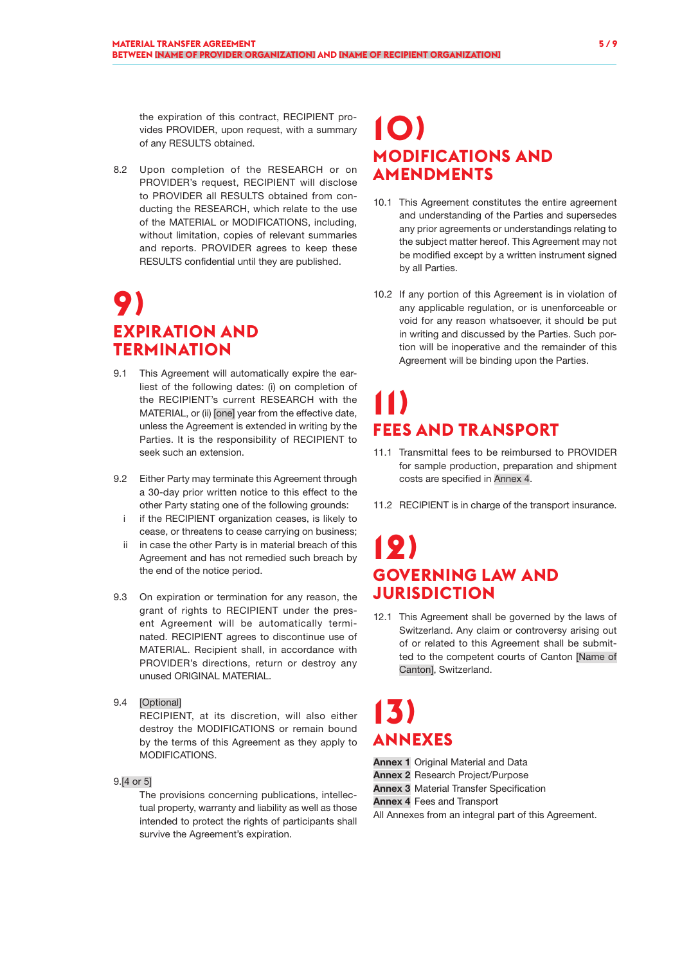the expiration of this contract, RECIPIENT provides PROVIDER, upon request, with a summary of any RESULTS obtained.

8.2 Upon completion of the RESEARCH or on PROVIDER's request, RECIPIENT will disclose to PROVIDER all RESULTS obtained from conducting the RESEARCH, which relate to the use of the MATERIAL or MODIFICATIONS, including, without limitation, copies of relevant summaries and reports. PROVIDER agrees to keep these RESULTS confidential until they are published.

### **9) EXPIRATION AND TERMINATION**

- 9.1 This Agreement will automatically expire the earliest of the following dates: (i) on completion of the RECIPIENT's current RESEARCH with the MATERIAL, or (ii) [one] year from the effective date, unless the Agreement is extended in writing by the Parties. It is the responsibility of RECIPIENT to seek such an extension.
- 9.2 Either Party may terminate this Agreement through a 30-day prior written notice to this effect to the other Party stating one of the following grounds:
	- i if the RECIPIENT organization ceases, is likely to cease, or threatens to cease carrying on business;
	- ii in case the other Party is in material breach of this Agreement and has not remedied such breach by the end of the notice period.
- 9.3 On expiration or termination for any reason, the grant of rights to RECIPIENT under the present Agreement will be automatically terminated. RECIPIENT agrees to discontinue use of MATERIAL. Recipient shall, in accordance with PROVIDER's directions, return or destroy any unused ORIGINAL MATERIAL.
- 9.4 [Optional]

RECIPIENT, at its discretion, will also either destroy the MODIFICATIONS or remain bound by the terms of this Agreement as they apply to MODIFICATIONS.

9.[4 or 5]

The provisions concerning publications, intellectual property, warranty and liability as well as those intended to protect the rights of participants shall survive the Agreement's expiration.

### **10) MODIFICATIONS AND AMENDMENTS**

- 10.1 This Agreement constitutes the entire agreement and understanding of the Parties and supersedes any prior agreements or understandings relating to the subject matter hereof. This Agreement may not be modified except by a written instrument signed by all Parties.
- 10.2 If any portion of this Agreement is in violation of any applicable regulation, or is unenforceable or void for any reason whatsoever, it should be put in writing and discussed by the Parties. Such portion will be inoperative and the remainder of this Agreement will be binding upon the Parties.

# **11) FEES AND TRANSPORT**

- 11.1 Transmittal fees to be reimbursed to PROVIDER for sample production, preparation and shipment costs are specified in Annex 4.
- 11.2 RECIPIENT is in charge of the transport insurance.

### **12) GOVERNING LAW AND JURISDICTION**

12.1 This Agreement shall be governed by the laws of Switzerland. Any claim or controversy arising out of or related to this Agreement shall be submitted to the competent courts of Canton [Name of Canton], Switzerland.

# **13) ANNEXES**

**Annex 1** Original Material and Data

Annex 2 Research Project/Purpose

**Annex 3** Material Transfer Specification

Annex 4 Fees and Transport

All Annexes from an integral part of this Agreement.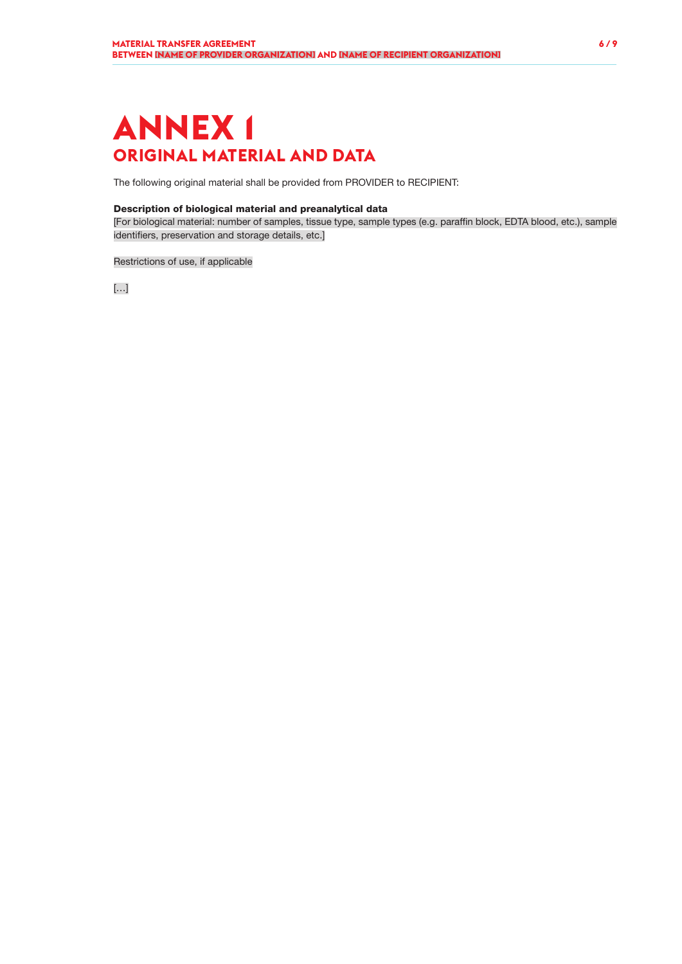# **ANNEX 1 ORIGINAL MATERIAL AND DATA**

The following original material shall be provided from PROVIDER to RECIPIENT:

### Description of biological material and preanalytical data

[For biological material: number of samples, tissue type, sample types (e.g. paraffin block, EDTA blood, etc.), sample identifiers, preservation and storage details, etc.]

Restrictions of use, if applicable

[…]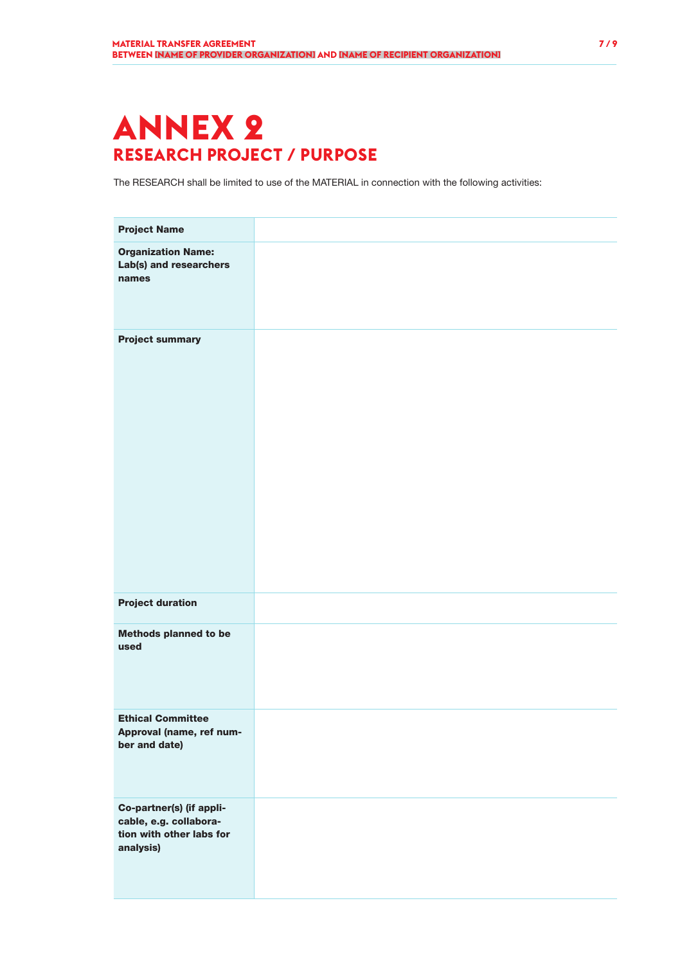# **ANNEX 2 RESEARCH PROJECT / PURPOSE**

The RESEARCH shall be limited to use of the MATERIAL in connection with the following activities:

| <b>Project Name</b>                                                                         |  |
|---------------------------------------------------------------------------------------------|--|
| <b>Organization Name:</b><br>Lab(s) and researchers<br>names                                |  |
| <b>Project summary</b>                                                                      |  |
| <b>Project duration</b>                                                                     |  |
| <b>Methods planned to be</b><br>used                                                        |  |
| <b>Ethical Committee</b><br>Approval (name, ref num-<br>ber and date)                       |  |
| Co-partner(s) (if appli-<br>cable, e.g. collabora-<br>tion with other labs for<br>analysis) |  |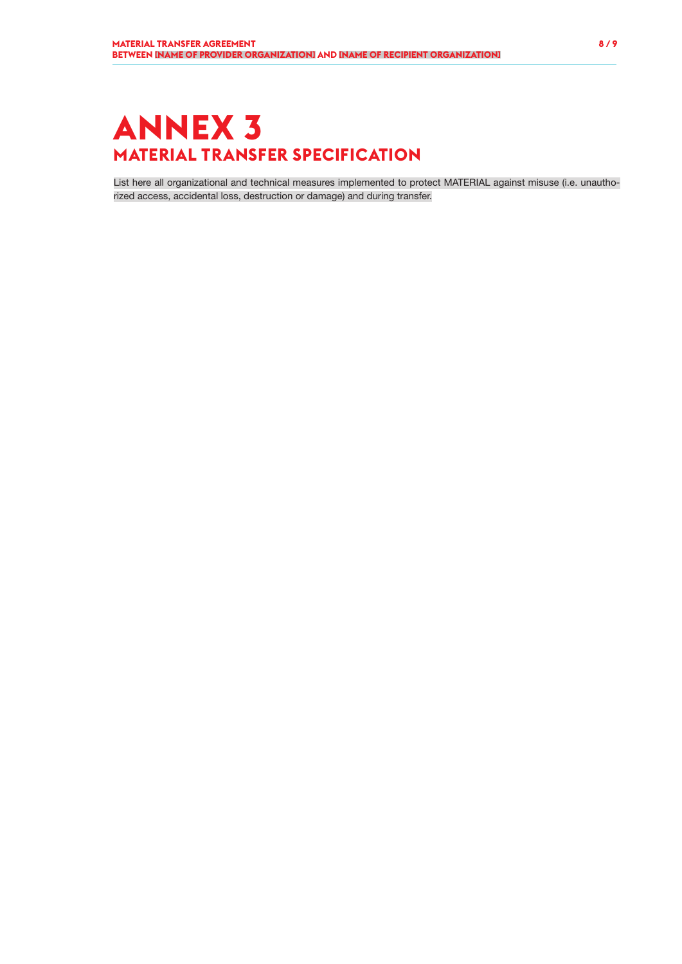# **ANNEX 3 MATERIAL TRANSFER SPECIFICATION**

List here all organizational and technical measures implemented to protect MATERIAL against misuse (i.e. unauthorized access, accidental loss, destruction or damage) and during transfer.